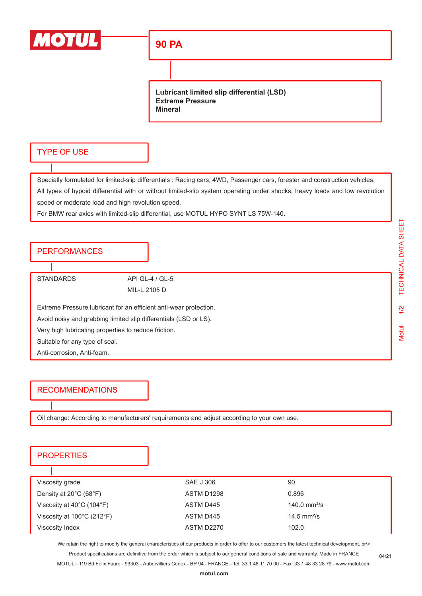

# **90 PA**

**Lubricant limited slip differential (LSD) Extreme Pressure Mineral**

#### TYPE OF USE

Specially formulated for limited-slip differentials : Racing cars, 4WD, Passenger cars, forester and construction vehicles. All types of hypoid differential with or without limited-slip system operating under shocks, heavy loads and low revolution speed or moderate load and high revolution speed.

For BMW rear axles with limited-slip differential, use MOTUL HYPO SYNT LS 75W-140.

### PERFORMANCES

STANDARDS API GL-4 / GL-5

MIL-L 2105 D

Extreme Pressure lubricant for an efficient anti-wear protection.

Avoid noisy and grabbing limited slip differentials (LSD or LS).

Very high lubricating properties to reduce friction.

Suitable for any type of seal.

Anti-corrosion, Anti-foam.

### RECOMMENDATIONS

Oil change: According to manufacturers' requirements and adjust according to your own use.

## **PROPERTIES**

| Viscosity grade                                 | SAE J 306  | 90                      |
|-------------------------------------------------|------------|-------------------------|
| Density at $20^{\circ}$ C (68 $^{\circ}$ F)     | ASTM D1298 | 0.896                   |
| Viscosity at $40^{\circ}$ C (104 $^{\circ}$ F)  | ASTM D445  | 140.0 $mm^2/s$          |
| Viscosity at $100^{\circ}$ C (212 $^{\circ}$ F) | ASTM D445  | 14.5 mm <sup>2</sup> /s |
| Viscosity Index                                 | ASTM D2270 | 102.0                   |

We retain the right to modify the general characteristics of our products in order to offer to our customers the latest technical development. br\> Product specifications are definitive from the order which is subject to our general conditions of sale and warranty. Made in FRANCE

MOTUL - 119 Bd Félix Faure - 93303 - Aubervilliers Cedex - BP 94 - FRANCE - Tel: 33 1 48 11 70 00 - Fax: 33 1 48 33 28 79 - www.motul.com

04/21